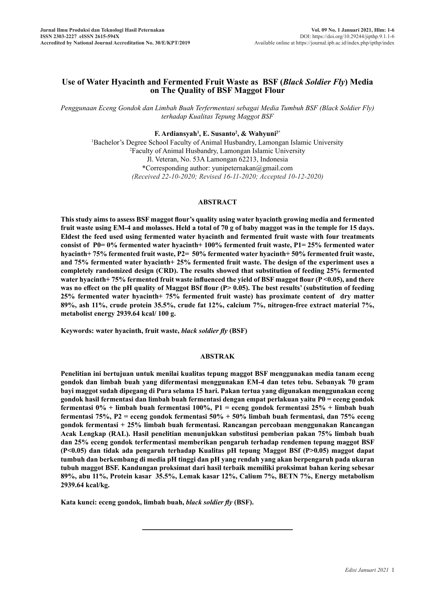# **Use of Water Hyacinth and Fermented Fruit Waste as BSF (***Black Soldier Fly***) Media on The Quality of BSF Maggot Flour**

*Penggunaan Eceng Gondok dan Limbah Buah Terfermentasi sebagai Media Tumbuh BSF (Black Soldier Fly) terhadap Kualitas Tepung Maggot BSF*

### **F. Ardiansyah1 , E. Susanto2 , & Wahyuni2\***

<sup>1</sup>Bachelor's Degree School Faculty of Animal Husbandry, Lamongan Islamic University<sup>2</sup>Faculty of Animal Husbandry J amongan Islamic University Faculty of Animal Husbandry, Lamongan Islamic University Jl. Veteran, No. 53A Lamongan 62213, Indonesia \*Corresponding author: yunipeternakan@gmail.com *(Received 22-10-2020; Revised 16-11-2020; Accepted 10-12-2020)*

#### **ABSTRACT**

**This study aims to assess BSF maggot flour's quality using water hyacinth growing media and fermented fruit waste using EM-4 and molasses. Held a total of 70 g of baby maggot was in the temple for 15 days. Eldest the feed used using fermented water hyacinth and fermented fruit waste with four treatments consist of P0= 0% fermented water hyacinth+ 100% fermented fruit waste, P1= 25% fermented water hyacinth+ 75% fermented fruit waste, P2= 50% fermented water hyacinth+ 50% fermented fruit waste, and 75% fermented water hyacinth+ 25% fermented fruit waste. The design of the experiment uses a completely randomized design (CRD). The results showed that substitution of feeding 25% fermented water hyacinth+ 75% fermented fruit waste influenced the yield of BSF maggot flour (P <0.05), and there**  was no effect on the pH quality of Maggot BSf flour (P> 0.05). The best results' (substitution of feeding **25% fermented water hyacinth+ 75% fermented fruit waste) has proximate content of dry matter 89%, ash 11%, crude protein 35.5%, crude fat 12%, calcium 7%, nitrogen-free extract material 7%, metabolist energy 2939.64 kcal/ 100 g.**

**Keywords: water hyacinth, fruit waste,** *black soldier fly* **(BSF)**

#### **ABSTRAK**

**Penelitian ini bertujuan untuk menilai kualitas tepung maggot BSF menggunakan media tanam eceng gondok dan limbah buah yang difermentasi menggunakan EM-4 dan tetes tebu. Sebanyak 70 gram bayi maggot sudah dipegang di Pura selama 15 hari. Pakan tertua yang digunakan menggunakan eceng gondok hasil fermentasi dan limbah buah fermentasi dengan empat perlakuan yaitu P0 = eceng gondok fermentasi 0% + limbah buah fermentasi 100%, P1 = eceng gondok fermentasi 25% + limbah buah fermentasi 75%, P2 = eceng gondok fermentasi 50% + 50% limbah buah fermentasi, dan 75% eceng gondok fermentasi + 25% limbah buah fermentasi. Rancangan percobaan menggunakan Rancangan Acak Lengkap (RAL). Hasil penelitian menunjukkan substitusi pemberian pakan 75% limbah buah dan 25% eceng gondok terfermentasi memberikan pengaruh terhadap rendemen tepung maggot BSF (P<0.05) dan tidak ada pengaruh terhadap Kualitas pH tepung Maggot BSf (P>0.05) maggot dapat tumbuh dan berkembang di media pH tinggi dan pH yang rendah yang akan berpengaruh pada ukuran tubuh maggot BSF. Kandungan proksimat dari hasil terbaik memiliki proksimat bahan kering sebesar 89%, abu 11%, Protein kasar 35.5%, Lemak kasar 12%, Calium 7%, BETN 7%, Energy metabolism 2939.64 kcal/kg.**

**Kata kunci: eceng gondok, limbah buah,** *black soldier fly* **(BSF).**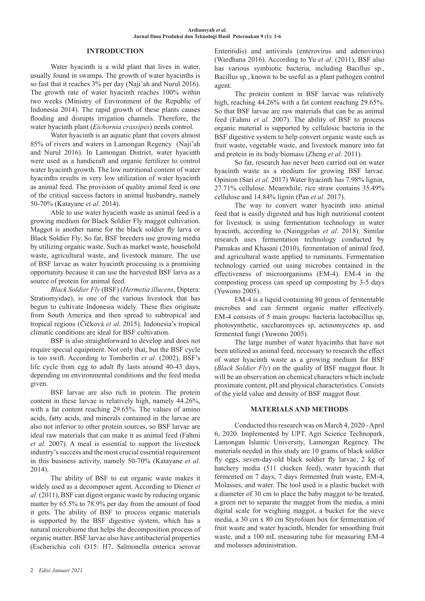### **INTRODUCTION**

Water hyacinth is a wild plant that lives in water, usually found in swamps. The growth of water hyacinths is so fast that it reaches 3% per day (Naji'ah and Nurul 2016). The growth rate of water hyacinth reaches 100% within two weeks (Ministry of Environment of the Republic of Indonesia 2014). The rapid growth of these plants causes flooding and disrupts irrigation channels. Therefore, the water hyacinth plant (*Eichornia crassipes*) needs control.

Water hyacinth is an aquatic plant that covers almost 85% of rivers and waters in Lamongan Regency (Naji'ah and Nurul 2016). In Lamongan District, water hyacinth were used as a handicraft and organic fertilizer to control water hyacinth growth. The low nutritional content of water hyacinths results in very low utilization of water hyacinth as animal feed. The provision of quality animal feed is one of the critical success factors in animal husbandry, namely 50-70% (Katayane *et al*. 2014).

Able to use water hyacinth waste as animal feed is a growing medium for Black Soldier Fly maggot cultivation. Maggot is another name for the black soldier fly larva or Black Soldier Fly. So far, BSF breeders use growing media by utilizing organic waste. Such as market waste, household waste, agricultural waste, and livestock manure. The use of BSF larvae as water hyacinth processing is a promising opportunity because it can use the harvested BSF larva as a source of protein for animal feed.

*Black Soldier Fly* (BSF) (*Hermetia illucens*, Diptera: Stratiomyidae), is one of the various livestock that has begun to cultivate Indonesia widely. These flies originate from South America and then spread to subtropical and tropical regions (Čičková *et al*. 2015). Indonesia's tropical climatic conditions are ideal for BSF cultivation.

BSF is also straightforward to develop and does not require special equipment. Not only that, but the BSF cycle is too swift. According to Tomberlin *et al*. (2002), BSF's life cycle from egg to adult fly lasts around 40-43 days, depending on environmental conditions and the feed media given.

BSF larvae are also rich in protein. The protein content in these larvae is relatively high, namely 44.26%, with a fat content reaching 29.65%. The values of amino acids, fatty acids, and minerals contained in the larvae are also not inferior to other protein sources, so BSF larvae are ideal raw materials that can make it as animal feed (Fahmi *et al*. 2007). A meal is essential to support the livestock industry's success and the most crucial essential requirement in this business activity, namely 50-70% (Katayane *et al.* 2014).

The ability of BSF to eat organic waste makes it widely used as a decomposer agent. According to Diener *et al.* (2011), BSF can digest organic waste by reducing organic matter by 65.5% to 78.9% per day from the amount of food it gets. The ability of BSF to process organic materials is supported by the BSF digestive system, which has a natural microbiome that helps the decomposition process of organic matter. BSF larvae also have antibacterial properties (Escherichia coli O15: H7, Salmonella enterica serovar

Enteritidis) and antivirals (enterovirus and adenovirus) (Wardhana 2016). According to Yu *et al*. (2011), BSF also has various symbiotic bacteria, including Bacillus sp., Bacillus sp., known to be useful as a plant pathogen control agent.

The protein content in BSF larvae was relatively high, reaching 44.26% with a fat content reaching 29.65%. So that BSF larvae are raw materials that can be as animal feed (Fahmi *et al*. 2007). The ability of BSF to process organic material is supported by cellulosic bacteria in the BSF digestive system to help convert organic waste such as fruit waste, vegetable waste, and livestock manure into fat and protein in its body biomass (Zheng *et al*. 2011).

So far, research has never been carried out on water hyacinth waste as a medium for growing BSF larvae. Opinion (Sari *et al.* 2017) Water hyacinth has 7.98% lignin, 27.71% cellulose. Meanwhile, rice straw contains 35.49% cellulose and 14.84% lignin (Pan *et al*. 2017).

The way to convert water hyacinth into animal feed that is easily digested and has high nutritional content for livestock is using fermentation technology in water hyacinth, according to (Nainggolan *et al*. 2018). Similar research uses fermentation technology conducted by Pamukas and Khasani (2010), fermentation of animal feed, and agricultural waste applied to ruminants. Fermentation technology carried out using microbes contained in the effectiveness of microorganisms (EM-4). EM-4 in the composting process can speed up composting by 3-5 days (Yuwono 2005).

EM-4 is a liquid containing 80 genus of fermentable microbes and can ferment organic matter effectively. EM-4 consists of 5 main groups: bacteria lactobacillus sp, photosynthetic, saccharomyces sp, actinomycetes sp, and fermented fungi (Yuwono 2005).

The large number of water hyacinths that have not been utilized as animal feed, necessary to research the effect of water hyacinth waste as a growing medium for BSF (*Black Soldier Fly*) on the quality of BSF maggot flour. It will be an observation on chemical characters which include proximate content, pH and physical characteristics. Consists of the yield value and density of BSF maggot flour.

#### **MATERIALS AND METHODS**

Conducted this research was on March 4, 2020 - April 6, 2020. Implemented by UPT. Agri Science Technopark, Lamongan Islamic University, Lamongan Regency. The materials needed in this study are 10 grams of black soldier fly eggs, seven-day-old black soldier fly larvae, 2 kg of hatchery media (511 chicken feed), water hyacinth that fermented on 7 days, 7 days fermented fruit waste, EM-4, Molasses, and water. The tool used is a plastic bucket with a diameter of 30 cm to place the baby maggot to be treated, a green net to separate the maggot from the media, a mini digital scale for weighing maggot, a bucket for the sieve media, a 30 cm x 80 cm Styrofoam box for fermentation of fruit waste and water hyacinth, blender for smoothing fruit waste, and a 100 mL measuring tube for measuring EM-4 and molasses administration.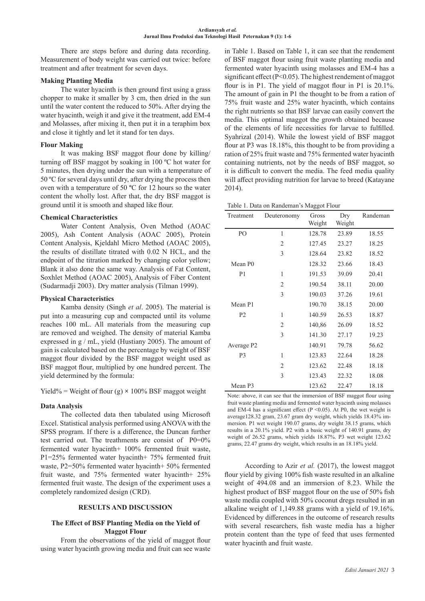There are steps before and during data recording. Measurement of body weight was carried out twice: before treatment and after treatment for seven days.

### **Making Planting Media**

The water hyacinth is then ground first using a grass chopper to make it smaller by 3 cm, then dried in the sun until the water content the reduced to 50%. After drying the water hyacinth, weigh it and give it the treatment, add EM-4 and Molasses, after mixing it, then put it in a teraphim box and close it tightly and let it stand for ten days.

## **Flour Making**

It was making BSF maggot flour done by killing/ turning off BSF maggot by soaking in 100 ºC hot water for 5 minutes, then drying under the sun with a temperature of 50 ºC for several days until dry, after drying the process then oven with a temperature of 50 **º**C for 12 hours so the water content the wholly lost. After that, the dry BSF maggot is ground until it is smooth and shaped like flour.

### **Chemical Characteristics**

Water Content Analysis, Oven Method (AOAC 2005), Ash Content Analysis (AOAC 2005), Protein Content Analysis, Kjeldahl Micro Method (AOAC 2005), the results of distillate titrated with 0.02 N HCL, and the endpoint of the titration marked by changing color yellow; Blank it also done the same way. Analysis of Fat Content, Soxhlet Method (AOAC 2005), Analysis of Fiber Content (Sudarmadji 2003). Dry matter analysis (Tilman 1999).

## **Physical Characteristics**

Kamba density (Singh *et al*. 2005). The material is put into a measuring cup and compacted until its volume reaches 100 mL. All materials from the measuring cup are removed and weighed. The density of material Kamba expressed in g / mL, yield (Hustiany 2005). The amount of gain is calculated based on the percentage by weight of BSF maggot flour divided by the BSF maggot weight used as BSF maggot flour, multiplied by one hundred percent. The yield determined by the formula:

Yield% = Weight of flour (g)  $\times$  100% BSF maggot weight

# **Data Analysis**

The collected data then tabulated using Microsoft Excel. Statistical analysis performed using ANOVA with the SPSS program. If there is a difference, the Duncan further test carried out. The treathments are consist of P0=0% fermented water hyacinth+ 100% fermented fruit waste, P1=25% fermented water hyacinth+ 75% fermented fruit waste, P2=50% fermented water hyacinth+ 50% fermented fruit waste, and 75% fermented water hyacinth+ 25% fermented fruit waste. The design of the experiment uses a completely randomized design (CRD).

# **RESULTS AND DISCUSSION**

### **The Effect of BSF Planting Media on the Yield of Maggot Flour**

From the observations of the yield of maggot flour using water hyacinth growing media and fruit can see waste in Table 1. Based on Table 1, it can see that the rendement of BSF maggot flour using fruit waste planting media and fermented water hyacinth using molasses and EM-4 has a significant effect (P<0.05). The highest rendement of maggot flour is in P1. The yield of maggot flour in P1 is 20.1%. The amount of gain in P1 the thought to be from a ration of 75% fruit waste and 25% water hyacinth, which contains the right nutrients so that BSF larvae can easily convert the media. This optimal maggot the growth obtained because of the elements of life necessities for larvae to fulfilled. Syahrizal (2014). While the lowest yield of BSF maggot flour at P3 was 18.18%, this thought to be from providing a ration of 25% fruit waste and 75% fermented water hyacinth containing nutrients, not by the needs of BSF maggot, so it is difficult to convert the media. The feed media quality will affect providing nutrition for larvae to breed (Katayane 2014).

| Table 1. Data on Randeman's Maggot Flour |  |
|------------------------------------------|--|
|------------------------------------------|--|

| Treatment              | Deuteronomy    | Gross<br>Weight | Dry<br>Weight | Randeman |  |
|------------------------|----------------|-----------------|---------------|----------|--|
| PO                     | 1              | 128.78          | 23.89         |          |  |
|                        |                |                 |               | 18.55    |  |
|                        | 2              | 127.45          | 23.27         | 18.25    |  |
|                        | 3              | 128.64          | 23.82         | 18.52    |  |
| Mean P <sub>0</sub>    |                | 128.32          | 23.66         | 18.43    |  |
| P <sub>1</sub>         | 1              | 191.53          | 39.09         | 20.41    |  |
|                        | $\overline{2}$ | 190.54          | 38.11         | 20.00    |  |
|                        | 3              | 190.03          | 37.26         | 19.61    |  |
| Mean P1                |                | 190.70          | 38.15         | 20.00    |  |
| P <sub>2</sub>         | 1              | 140.59          | 26.53         | 18.87    |  |
|                        | $\overline{2}$ | 140,86          | 26.09         | 18.52    |  |
|                        | 3              | 141.30          | 27.17         | 19.23    |  |
| Average P <sub>2</sub> |                | 140.91          | 79.78         | 56.62    |  |
| P <sub>3</sub>         | 1              | 123.83          | 22.64         | 18.28    |  |
|                        | 2              | 123.62          | 22.48         | 18.18    |  |
|                        | 3              | 123.43          | 22.32         | 18.08    |  |
| Mean P3                |                | 123.62          | 22.47         | 18.18    |  |

Note: above, it can see that the immersion of BSF maggot flour using fruit waste planting media and fermented water hyacinth using molasses and EM-4 has a significant effect ( $P$  <0.05). At P0, the wet weight is average128.32 gram, 23.67 gram dry weight, which yields 18.43% immersion. P1 wet weight 190.07 grams, dry weight 38.15 grams, which results in a 20.1% yield. P2 with a basic weight of 140.91 grams, dry weight of 26.52 grams, which yields 18.87%. P3 wet weight 123.62 grams, 22.47 grams dry weight, which results in an 18.18% yield.

According to Azir *et al.* (2017), the lowest maggot flour yield by giving 100% fish waste resulted in an alkaline weight of 494.08 and an immersion of 8.23. While the highest product of BSF maggot flour on the use of 50% fish waste media coupled with 50% coconut dregs resulted in an alkaline weight of 1,149.88 grams with a yield of 19.16%. Evidenced by differences in the outcome of research results with several researchers, fish waste media has a higher protein content than the type of feed that uses fermented water hyacinth and fruit waste.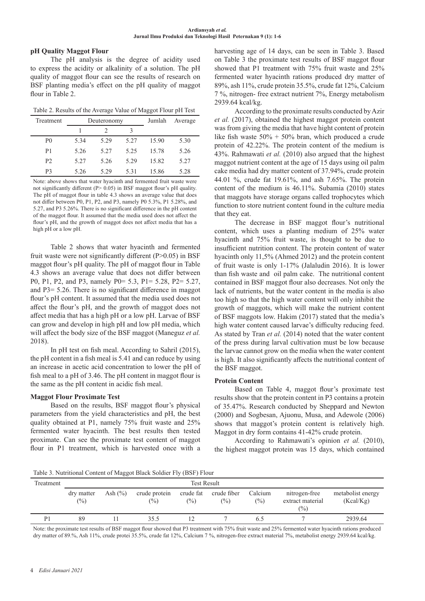### **pH Quality Maggot Flour**

The pH analysis is the degree of acidity used to express the acidity or alkalinity of a solution. The pH quality of maggot flour can see the results of research on BSF planting media's effect on the pH quality of maggot flour in Table 2.

|  | Table 2. Results of the Average Value of Maggot Flour pH Test |  |  |
|--|---------------------------------------------------------------|--|--|
|  |                                                               |  |  |

| Treatment      |      | Deuteronomy | Jumlah | Average |      |
|----------------|------|-------------|--------|---------|------|
|                |      |             | ς      |         |      |
| P <sub>0</sub> | 5.34 | 5.29        | 5.27   | 15.90   | 5.30 |
| P1             | 5.26 | 5.27        | 5.25   | 15.78   | 5.26 |
| P <sub>2</sub> | 5.27 | 5.26        | 5.29   | 15.82   | 5.27 |
| P3             | 5.26 | 5.29        | 5.31   | 15.86   | 5.28 |

Note: above shows that water hyacinth and fermented fruit waste were not significantly different (P> 0.05) in BSF maggot flour's pH quality. The pH of maggot flour in table 4.3 shows an average value that does not differ between P0, P1, P2, and P3, namely P0 5.3%, P1 5.28%, and 5.27, and P3 5.26%. There is no significant difference in the pH content of the maggot flour. It assumed that the media used does not affect the flour's pH, and the growth of maggot does not affect media that has a high pH or a low pH.

Table 2 shows that water hyacinth and fermented fruit waste were not significantly different (P>0.05) in BSF maggot flour's pH quality. The pH of maggot flour in Table 4.3 shows an average value that does not differ between P0, P1, P2, and P3, namely P0= 5.3, P1= 5.28, P2= 5.27, and P3= 5.26. There is no significant difference in maggot flour's pH content. It assumed that the media used does not affect the flour's pH, and the growth of maggot does not affect media that has a high pH or a low pH. Larvae of BSF can grow and develop in high pH and low pH media, which will affect the body size of the BSF maggot (Maneguz *et al.* 2018).

In pH test on fish meal. According to Sahril (2015), the pH content in a fish meal is 5.41 and can reduce by using an increase in acetic acid concentration to lower the pH of fish meal to a pH of 3.46. The pH content in maggot flour is the same as the pH content in acidic fish meal.

### **Maggot Flour Proximate Test**

Based on the results, BSF maggot flour's physical parameters from the yield characteristics and pH, the best quality obtained at P1, namely 75% fruit waste and 25% fermented water hyacinth. The best results then tested proximate. Can see the proximate test content of maggot flour in P1 treatment, which is harvested once with a harvesting age of 14 days, can be seen in Table 3. Based on Table 3 the proximate test results of BSF maggot flour showed that P1 treatment with 75% fruit waste and 25% fermented water hyacinth rations produced dry matter of 89%, ash 11%, crude protein 35.5%, crude fat 12%, Calcium 7 %, nitrogen- free extract nutrient 7%, Energy metabolism 2939.64 kcal/kg.

According to the proximate results conducted by Azir *et al.* (2017), obtained the highest maggot protein content was from giving the media that have hight content of protein like fish waste 50% + 50% bran, which produced a crude protein of 42.22%. The protein content of the medium is 43%. Rahmawati *et al.* (2010) also argued that the highest maggot nutrient content at the age of 15 days using oil palm cake media had dry matter content of 37.94%, crude protein 44.01 %, crude fat 19.61%, and ash 7.65%. The protein content of the medium is 46.11%. Subamia (2010) states that maggots have storage organs called trophocytes which function to store nutrient content found in the culture media that they eat.

The decrease in BSF maggot flour's nutritional content, which uses a planting medium of 25% water hyacinth and 75% fruit waste, is thought to be due to insufficient nutrition content. The protein content of water hyacinth only 11,5% (Ahmed 2012) and the protein content of fruit waste is only 1-17% (Jalaludin 2016). It is lower than fish waste and oil palm cake. The nutritional content contained in BSF maggot flour also decreases. Not only the lack of nutrients, but the water content in the media is also too high so that the high water content will only inhibit the growth of maggots, which will make the nutrient content of BSF maggots low. Hakim (2017) stated that the media's high water content caused larvae's difficulty reducing feed. As stated by Tran *et al.* (2014) noted that the water content of the press during larval cultivation must be low because the larvae cannot grow on the media when the water content is high. It also significantly affects the nutritional content of the BSF maggot.

### **Protein Content**

Based on Table 4, maggot flour's proximate test results show that the protein content in P3 contains a protein of 35.47%. Research conducted by Sheppard and Newton (2000) and Sogbesan, Ajuonu, Musa, and Adewole (2006) shows that maggot's protein content is relatively high. Maggot in dry form contains 41-42% crude protein.

According to Rahmawati's opinion *et al.* (2010), the highest maggot protein was 15 days, which contained

Table 3. Nutritional Content of Maggot Black Soldier Fly (BSF) Flour

| Tuolo 3. I warnional comoni of maggor Black Boldier 117 (BBI ) I four |                    |             |                                  |                             |                                |                   |                                          |                                |
|-----------------------------------------------------------------------|--------------------|-------------|----------------------------------|-----------------------------|--------------------------------|-------------------|------------------------------------------|--------------------------------|
| Treatment                                                             | <b>Test Result</b> |             |                                  |                             |                                |                   |                                          |                                |
|                                                                       | dry matter<br>(%)  | Ash $(\% )$ | crude protein<br>$\frac{(0)}{0}$ | crude fat<br>$\binom{0}{0}$ | crude fiber<br>$\frac{(0)}{0}$ | Calcium<br>$(\%)$ | nitrogen-free<br>extract material<br>(%) | metabolist energy<br>(Kcal/Kg) |
| P1                                                                    | 89                 |             | 35.5                             |                             |                                | 6.5               |                                          | 2939.64                        |

Note: the proximate test results of BSF maggot flour showed that P3 treatment with 75% fruit waste and 25% fermented water hyacinth rations produced dry matter of 89.%, Ash 11%, crude protei 35.5%, crude fat 12%, Calcium 7 %, nitrogen-free extract material 7%, metabolist energy 2939.64 kcal/kg.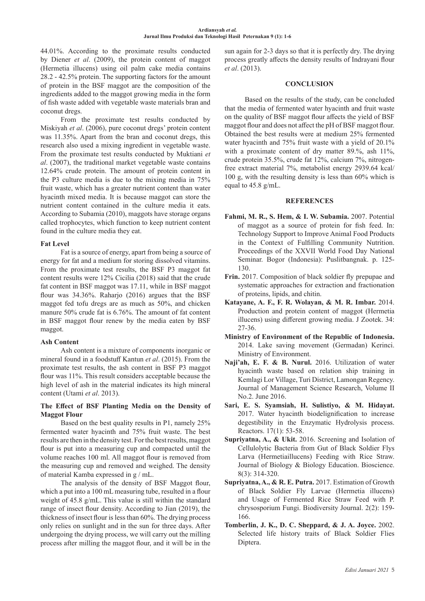44.01%. According to the proximate results conducted by Diener *et al*. (2009), the protein content of maggot (Hermetia illucens) using oil palm cake media contains 28.2 - 42.5% protein. The supporting factors for the amount of protein in the BSF maggot are the composition of the ingredients added to the maggot growing media in the form of fish waste added with vegetable waste materials bran and coconut dregs.

From the proximate test results conducted by Miskiyah *et al*. (2006), pure coconut dregs' protein content was 11.35%. Apart from the bran and coconut dregs, this research also used a mixing ingredient in vegetable waste. From the proximate test results conducted by Muktiani *et al*. (2007), the traditional market vegetable waste contains 12.64% crude protein. The amount of protein content in the P3 culture media is due to the mixing media in 75% fruit waste, which has a greater nutrient content than water hyacinth mixed media. It is because maggot can store the nutrient content contained in the culture media it eats. According to Subamia (2010), maggots have storage organs called trophocytes, which function to keep nutrient content found in the culture media they eat.

### **Fat Level**

Fat is a source of energy, apart from being a source of energy for fat and a medium for storing dissolved vitamins. From the proximate test results, the BSF P3 maggot fat content results were 12% Cicilia (2018) said that the crude fat content in BSF maggot was 17.11, while in BSF maggot flour was 34.36%. Raharjo (2016) argues that the BSF maggot fed tofu dregs are as much as 50%, and chicken manure 50% crude fat is 6.76%. The amount of fat content in BSF maggot flour renew by the media eaten by BSF maggot.

### **Ash Content**

Ash content is a mixture of components inorganic or mineral found in a foodstuff Kantun *et al*. (2015). From the proximate test results, the ash content in BSF P3 maggot flour was 11%. This result considers acceptable because the high level of ash in the material indicates its high mineral content (Utami *et al*. 2013).

### **The Effect of BSF Planting Media on the Density of Maggot Flour**

Based on the best quality results in P1, namely 25% fermented water hyacinth and 75% fruit waste. The best results are then in the density test. For the best results, maggot flour is put into a measuring cup and compacted until the volume reaches 100 ml. All maggot flour is removed from the measuring cup and removed and weighed. The density of material Kamba expressed in g / mL.

The analysis of the density of BSF Maggot flour, which a put into a 100 mL measuring tube, resulted in a flour weight of 45.8 g/mL. This value is still within the standard range of insect flour density. According to Jian (2019), the thickness of insect flour is less than 60%. The drying process only relies on sunlight and in the sun for three days. After undergoing the drying process, we will carry out the milling process after milling the maggot flour, and it will be in the sun again for 2-3 days so that it is perfectly dry. The drying process greatly affects the density results of Indrayani flour *et al*. (2013).

### **CONCLUSION**

Based on the results of the study, can be concluded that the media of fermented water hyacinth and fruit waste on the quality of BSF maggot flour affects the yield of BSF maggot flour and does not affect the pH of BSF maggot flour. Obtained the best results were at medium 25% fermented water hyacinth and 75% fruit waste with a yield of 20.1% with a proximate content of dry matter 89.%, ash 11%, crude protein 35.5%, crude fat 12%, calcium 7%, nitrogenfree extract material 7%, metabolist energy 2939.64 kcal/ 100 g, with the resulting density is less than 60% which is equal to 45.8 g/mL.

### **REFERENCES**

- **Fahmi, M. R., S. Hem, & I. W. Subamia.** 2007. Potential of maggot as a source of protein for fish feed. In: Technology Support to Improve Animal Food Products in the Context of Fulfilling Community Nutrition. Proceedings of the XXVII World Food Day National Seminar. Bogor (Indonesia): Puslitbangnak. p. 125- 130.
- **Frin.** 2017. Composition of black soldier fly prepupae and systematic approaches for extraction and fractionation of proteins, lipids, and chitin.
- **Katayane, A. F., F. R. Wolayan, & M. R. Imbar.** 2014. Production and protein content of maggot (Hermetia illucens) using different growing media. J Zootek. 34: 27-36.
- **Ministry of Environment of the Republic of Indonesia.**  2014. Lake saving movement (Germadan) Kerinci. Ministry of Environment.
- **Naji'ah, E. F. & B. Nurul.** 2016. Utilization of water hyacinth waste based on relation ship training in Kemlagi Lor Village, Turi District, Lamongan Regency. Journal of Management Science Research, Volume II No.2. June 2016.
- **Sari, E. S. Syamsiah, H. Sulistiyo, & M. Hidayat.**  2017. Water hyacinth biodelignification to increase degestibility in the Enzymatic Hydrolysis process. Reactors. 17(1): 53-58.
- **Supriyatna, A., & Ukit.** 2016. Screening and Isolation of Cellulolytic Bacteria from Gut of Black Soldier Flys Larva (Hermetiaillucens) Feeding with Rice Straw. Journal of Biology & Biology Education. Bioscience. 8(3): 314-320.
- **Supriyatna, A., & R. E. Putra.** 2017. Estimation of Growth of Black Soldier Fly Larvae (Hermetia illucens) and Usage of Fermented Rice Straw Feed with P. chrysosporium Fungi. Biodiversity Journal. 2(2): 159- 166.
- **Tomberlin, J. K., D. C. Sheppard, & J. A. Joyce.** 2002. Selected life history traits of Black Soldier Flies Diptera.